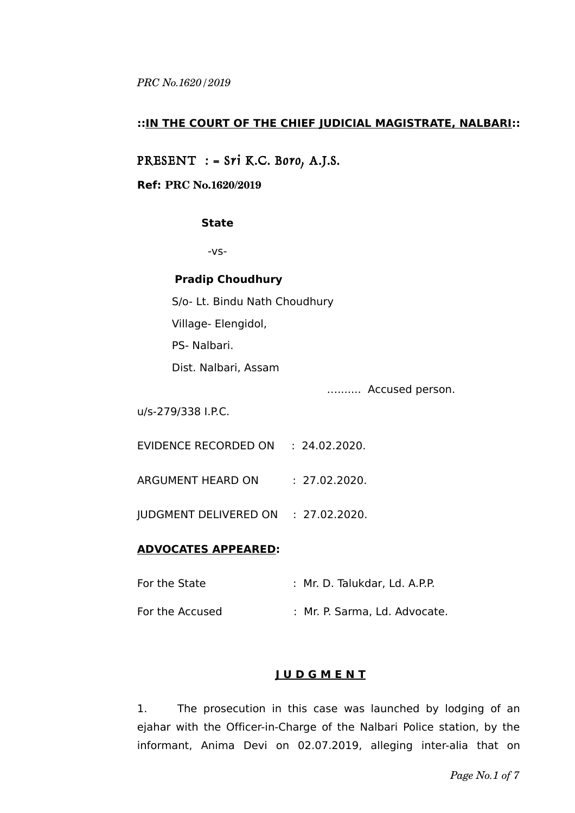### **::IN THE COURT OF THE CHIEF JUDICIAL MAGISTRATE, NALBARI::**

# PRESENT : = Sri K.C. Boro, A.J.S.

#### **Ref: PRC No.1620/2019**

#### **State**

-vs-

### **Pradip Choudhury**

S/o- Lt. Bindu Nath Choudhury

Village- Elengidol,

PS- Nalbari.

Dist. Nalbari, Assam

…....... Accused person.

u/s-279/338 I.P.C.

EVIDENCE RECORDED ON : 24.02.2020.

ARGUMENT HEARD ON : 27.02.2020.

JUDGMENT DELIVERED ON : 27.02.2020.

### **ADVOCATES APPEARED:**

| For the State   | : Mr. D. Talukdar, Ld. A.P.P. |
|-----------------|-------------------------------|
| For the Accused | : Mr. P. Sarma, Ld. Advocate. |

## **J U D G M E N T**

1. The prosecution in this case was launched by lodging of an ejahar with the Officer-in-Charge of the Nalbari Police station, by the informant, Anima Devi on 02.07.2019, alleging inter-alia that on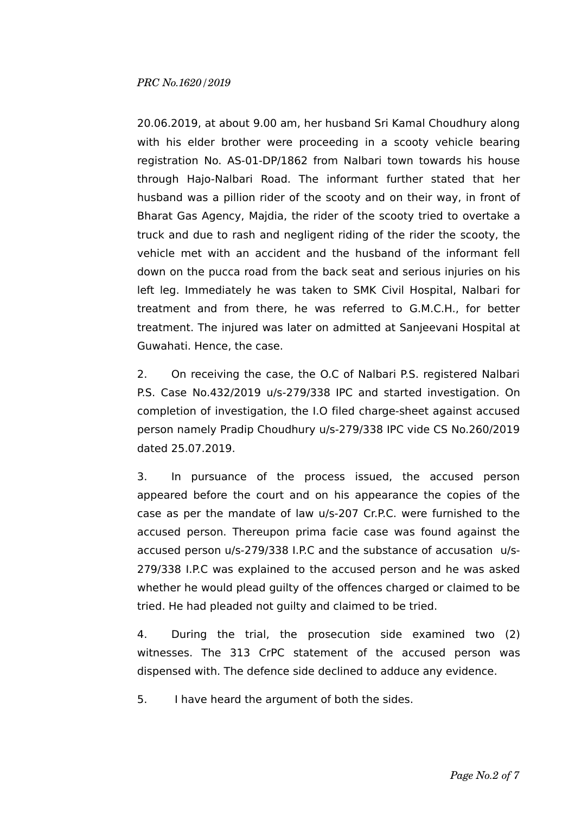20.06.2019, at about 9.00 am, her husband Sri Kamal Choudhury along with his elder brother were proceeding in a scooty vehicle bearing registration No. AS-01-DP/1862 from Nalbari town towards his house through Hajo-Nalbari Road. The informant further stated that her husband was a pillion rider of the scooty and on their way, in front of Bharat Gas Agency, Majdia, the rider of the scooty tried to overtake a truck and due to rash and negligent riding of the rider the scooty, the vehicle met with an accident and the husband of the informant fell down on the pucca road from the back seat and serious injuries on his left leg. Immediately he was taken to SMK Civil Hospital, Nalbari for treatment and from there, he was referred to G.M.C.H., for better treatment. The injured was later on admitted at Sanjeevani Hospital at Guwahati. Hence, the case.

2. On receiving the case, the O.C of Nalbari P.S. registered Nalbari P.S. Case No.432/2019 u/s-279/338 IPC and started investigation. On completion of investigation, the I.O filed charge-sheet against accused person namely Pradip Choudhury u/s-279/338 IPC vide CS No.260/2019 dated 25.07.2019.

3. In pursuance of the process issued, the accused person appeared before the court and on his appearance the copies of the case as per the mandate of law u/s-207 Cr.P.C. were furnished to the accused person. Thereupon prima facie case was found against the accused person u/s-279/338 I.P.C and the substance of accusation u/s-279/338 I.P.C was explained to the accused person and he was asked whether he would plead guilty of the offences charged or claimed to be tried. He had pleaded not guilty and claimed to be tried.

4. During the trial, the prosecution side examined two (2) witnesses. The 313 CrPC statement of the accused person was dispensed with. The defence side declined to adduce any evidence.

5. I have heard the argument of both the sides.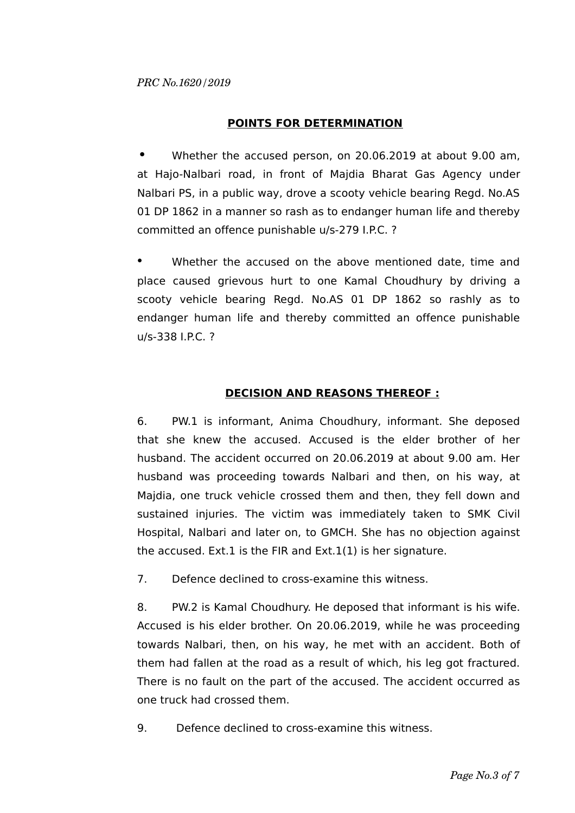## **POINTS FOR DETERMINATION**

**•** Whether the accused person, on 20.06.2019 at about 9.00 am, at Hajo-Nalbari road, in front of Majdia Bharat Gas Agency under Nalbari PS, in a public way, drove a scooty vehicle bearing Regd. No.AS 01 DP 1862 in a manner so rash as to endanger human life and thereby committed an offence punishable u/s-279 I.P.C. ?

• Whether the accused on the above mentioned date, time and place caused grievous hurt to one Kamal Choudhury by driving a scooty vehicle bearing Regd. No.AS 01 DP 1862 so rashly as to endanger human life and thereby committed an offence punishable u/s-338 I.P.C. ?

# **DECISION AND REASONS THEREOF :**

6. PW.1 is informant, Anima Choudhury, informant. She deposed that she knew the accused. Accused is the elder brother of her husband. The accident occurred on 20.06.2019 at about 9.00 am. Her husband was proceeding towards Nalbari and then, on his way, at Majdia, one truck vehicle crossed them and then, they fell down and sustained injuries. The victim was immediately taken to SMK Civil Hospital, Nalbari and later on, to GMCH. She has no objection against the accused. Ext.1 is the FIR and Ext.1(1) is her signature.

7. Defence declined to cross-examine this witness.

8. PW.2 is Kamal Choudhury. He deposed that informant is his wife. Accused is his elder brother. On 20.06.2019, while he was proceeding towards Nalbari, then, on his way, he met with an accident. Both of them had fallen at the road as a result of which, his leg got fractured. There is no fault on the part of the accused. The accident occurred as one truck had crossed them.

9. Defence declined to cross-examine this witness.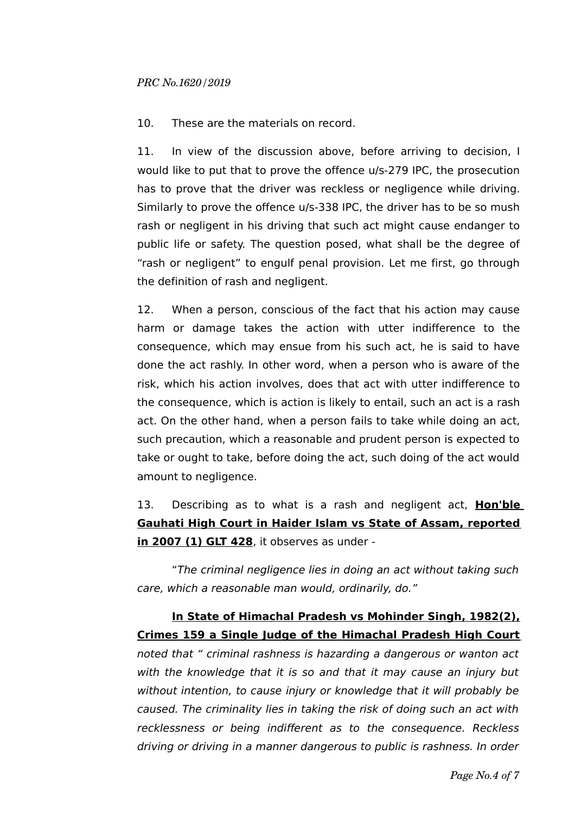10. These are the materials on record.

11. In view of the discussion above, before arriving to decision, I would like to put that to prove the offence u/s-279 IPC, the prosecution has to prove that the driver was reckless or negligence while driving. Similarly to prove the offence u/s-338 IPC, the driver has to be so mush rash or negligent in his driving that such act might cause endanger to public life or safety. The question posed, what shall be the degree of "rash or negligent" to engulf penal provision. Let me first, go through the definition of rash and negligent.

12. When a person, conscious of the fact that his action may cause harm or damage takes the action with utter indifference to the consequence, which may ensue from his such act, he is said to have done the act rashly. In other word, when a person who is aware of the risk, which his action involves, does that act with utter indifference to the consequence, which is action is likely to entail, such an act is a rash act. On the other hand, when a person fails to take while doing an act, such precaution, which a reasonable and prudent person is expected to take or ought to take, before doing the act, such doing of the act would amount to negligence.

13. Describing as to what is a rash and negligent act, **Hon'ble Gauhati High Court in Haider Islam vs State of Assam, reported in 2007 (1) GLT 428**, it observes as under -

"The criminal negligence lies in doing an act without taking such care, which a reasonable man would, ordinarily, do."

# **In State of Himachal Pradesh vs Mohinder Singh, 1982(2), Crimes 159 a Single Judge of the Himachal Pradesh High Court**

noted that " criminal rashness is hazarding a dangerous or wanton act with the knowledge that it is so and that it may cause an injury but without intention, to cause injury or knowledge that it will probably be caused. The criminality lies in taking the risk of doing such an act with recklessness or being indifferent as to the consequence. Reckless driving or driving in a manner dangerous to public is rashness. In order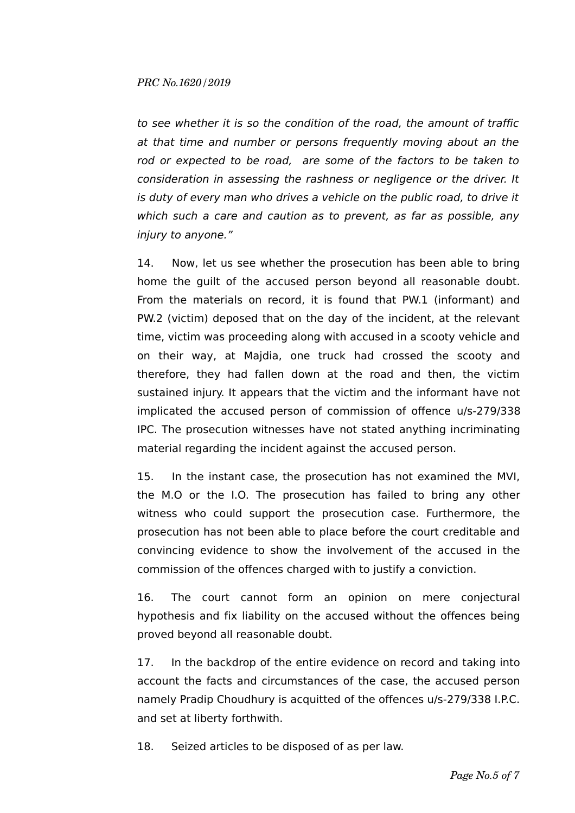to see whether it is so the condition of the road, the amount of traffic at that time and number or persons frequently moving about an the rod or expected to be road, are some of the factors to be taken to consideration in assessing the rashness or negligence or the driver. It is duty of every man who drives a vehicle on the public road, to drive it which such a care and caution as to prevent, as far as possible, any injury to anyone."

14. Now, let us see whether the prosecution has been able to bring home the guilt of the accused person beyond all reasonable doubt. From the materials on record, it is found that PW.1 (informant) and PW.2 (victim) deposed that on the day of the incident, at the relevant time, victim was proceeding along with accused in a scooty vehicle and on their way, at Majdia, one truck had crossed the scooty and therefore, they had fallen down at the road and then, the victim sustained injury. It appears that the victim and the informant have not implicated the accused person of commission of offence u/s-279/338 IPC. The prosecution witnesses have not stated anything incriminating material regarding the incident against the accused person.

15. In the instant case, the prosecution has not examined the MVI, the M.O or the I.O. The prosecution has failed to bring any other witness who could support the prosecution case. Furthermore, the prosecution has not been able to place before the court creditable and convincing evidence to show the involvement of the accused in the commission of the offences charged with to justify a conviction.

16. The court cannot form an opinion on mere conjectural hypothesis and fix liability on the accused without the offences being proved beyond all reasonable doubt.

17. In the backdrop of the entire evidence on record and taking into account the facts and circumstances of the case, the accused person namely Pradip Choudhury is acquitted of the offences u/s-279/338 I.P.C. and set at liberty forthwith.

18. Seized articles to be disposed of as per law.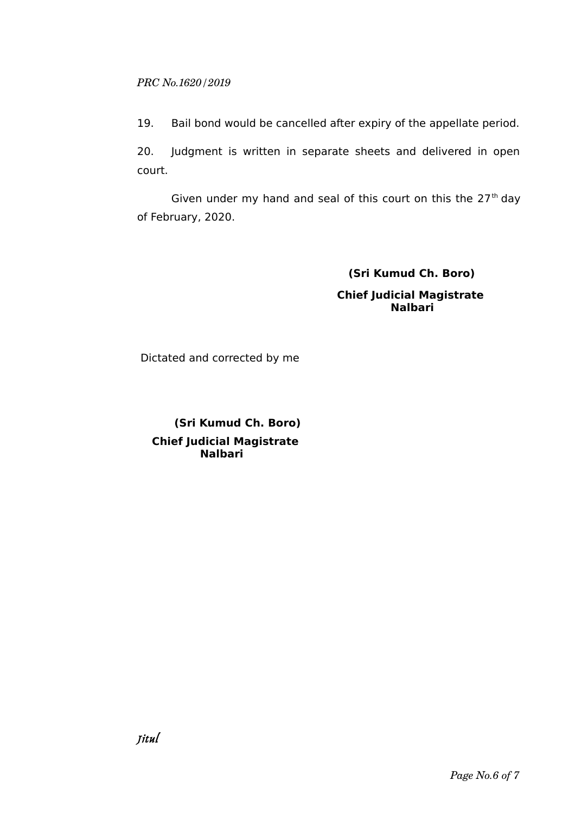### *PRC No.1620/2019*

19. Bail bond would be cancelled after expiry of the appellate period.

20. Judgment is written in separate sheets and delivered in open court.

Given under my hand and seal of this court on this the  $27<sup>th</sup>$  day of February, 2020.

## **(Sri Kumud Ch. Boro)**

 **Chief Judicial Magistrate Nalbari**

Dictated and corrected by me

 **(Sri Kumud Ch. Boro) Chief Judicial Magistrate Nalbari**